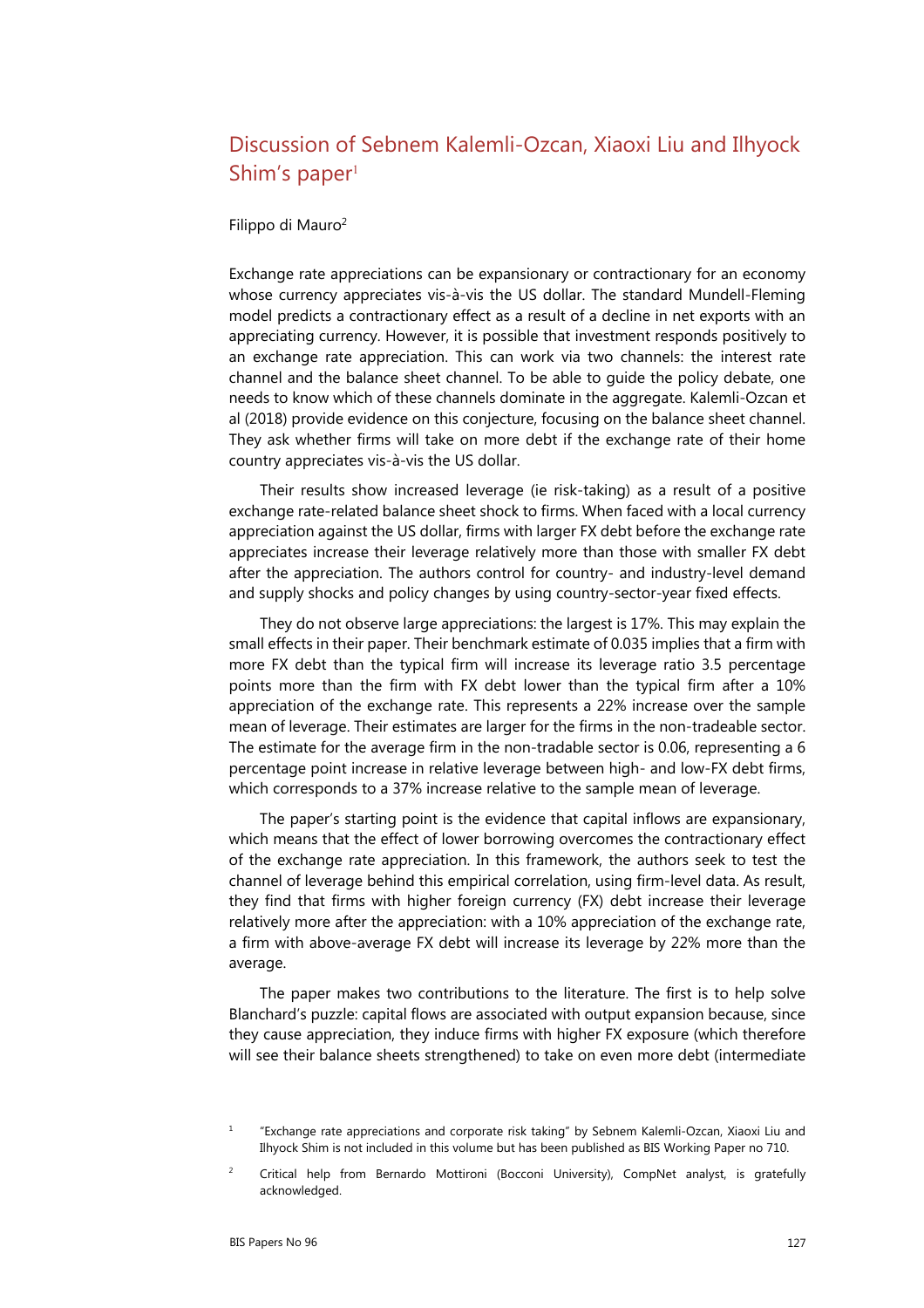## Discussion of Sebnem Kalemli-Ozcan, Xiaoxi Liu and Ilhyock Shim's paper<sup>[1](#page-0-1)</sup>

## Filippo di Mauro<sup>2</sup>

Exchange rate appreciations can be expansionary or contractionary for an economy whose currency appreciates vis-à-vis the US dollar. The standard Mundell-Fleming model predicts a contractionary effect as a result of a decline in net exports with an appreciating currency. However, it is possible that investment responds positively to an exchange rate appreciation. This can work via two channels: the interest rate channel and the balance sheet channel. To be able to guide the policy debate, one needs to know which of these channels dominate in the aggregate. Kalemli-Ozcan et al (2018) provide evidence on this conjecture, focusing on the balance sheet channel. They ask whether firms will take on more debt if the exchange rate of their home country appreciates vis-à-vis the US dollar.

Their results show increased leverage (ie risk-taking) as a result of a positive exchange rate-related balance sheet shock to firms. When faced with a local currency appreciation against the US dollar, firms with larger FX debt before the exchange rate appreciates increase their leverage relatively more than those with smaller FX debt after the appreciation. The authors control for country- and industry-level demand and supply shocks and policy changes by using country-sector-year fixed effects.

They do not observe large appreciations: the largest is 17%. This may explain the small effects in their paper. Their benchmark estimate of 0.035 implies that a firm with more FX debt than the typical firm will increase its leverage ratio 3.5 percentage points more than the firm with FX debt lower than the typical firm after a 10% appreciation of the exchange rate. This represents a 22% increase over the sample mean of leverage. Their estimates are larger for the firms in the non-tradeable sector. The estimate for the average firm in the non-tradable sector is 0.06, representing a 6 percentage point increase in relative leverage between high- and low-FX debt firms, which corresponds to a 37% increase relative to the sample mean of leverage.

The paper's starting point is the evidence that capital inflows are expansionary, which means that the effect of lower borrowing overcomes the contractionary effect of the exchange rate appreciation. In this framework, the authors seek to test the channel of leverage behind this empirical correlation, using firm-level data. As result, they find that firms with higher foreign currency (FX) debt increase their leverage relatively more after the appreciation: with a 10% appreciation of the exchange rate, a firm with above-average FX debt will increase its leverage by 22% more than the average.

The paper makes two contributions to the literature. The first is to help solve Blanchard's puzzle: capital flows are associated with output expansion because, since they cause appreciation, they induce firms with higher FX exposure (which therefore will see their balance sheets strengthened) to take on even more debt (intermediate

<span id="page-0-1"></span><sup>1</sup> "Exchange rate appreciations and corporate risk taking" by Sebnem Kalemli-Ozcan, Xiaoxi Liu and Ilhyock Shim is not included in this volume but has been published as BIS Working Paper no 710.

<span id="page-0-0"></span> $\overline{2}$  Critical help from Bernardo Mottironi (Bocconi University), CompNet analyst, is gratefully acknowledged.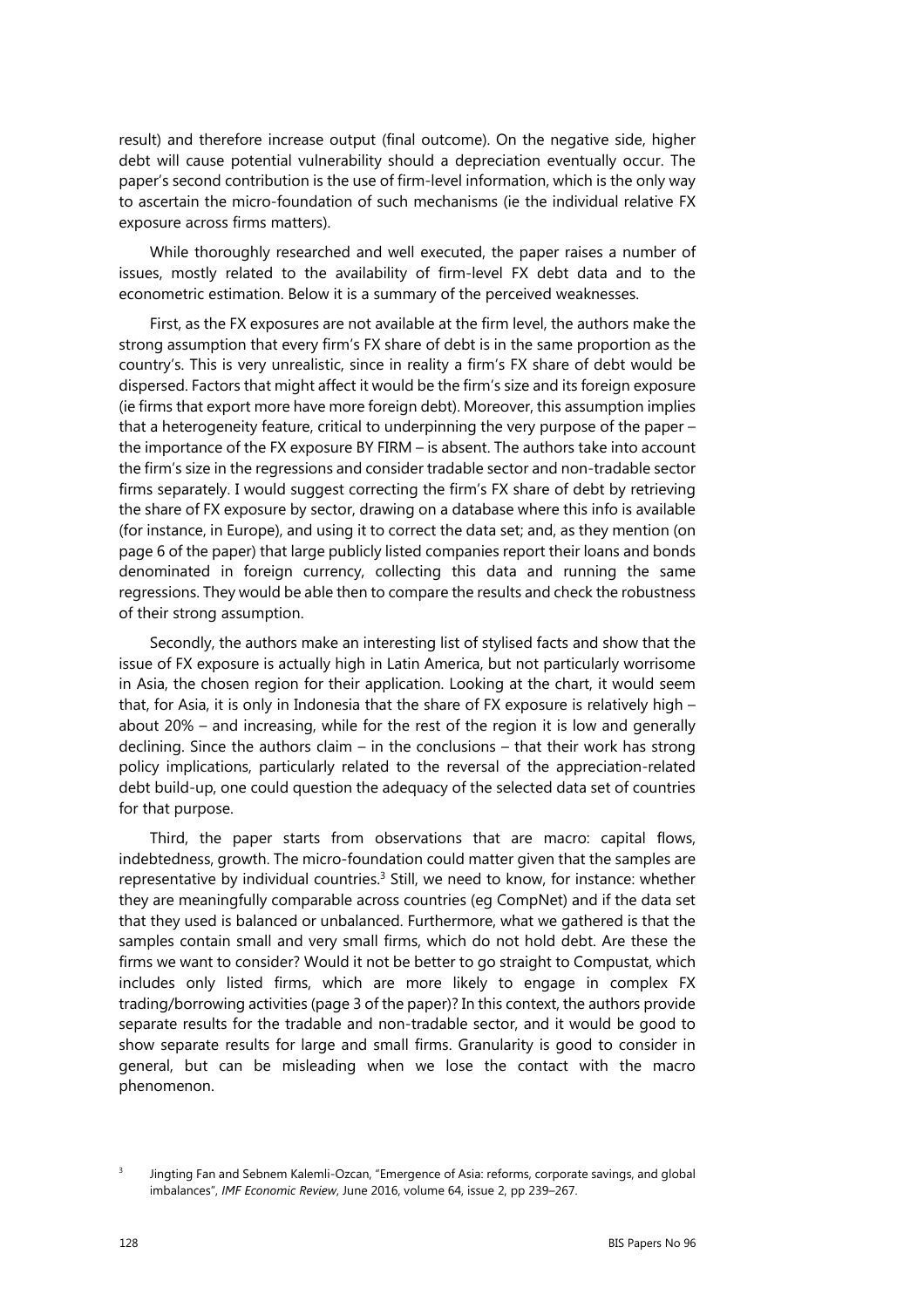result) and therefore increase output (final outcome). On the negative side, higher debt will cause potential vulnerability should a depreciation eventually occur. The paper's second contribution is the use of firm-level information, which is the only way to ascertain the micro-foundation of such mechanisms (ie the individual relative FX exposure across firms matters).

While thoroughly researched and well executed, the paper raises a number of issues, mostly related to the availability of firm-level FX debt data and to the econometric estimation. Below it is a summary of the perceived weaknesses.

First, as the FX exposures are not available at the firm level, the authors make the strong assumption that every firm's FX share of debt is in the same proportion as the country's. This is very unrealistic, since in reality a firm's FX share of debt would be dispersed. Factors that might affect it would be the firm's size and its foreign exposure (ie firms that export more have more foreign debt). Moreover, this assumption implies that a heterogeneity feature, critical to underpinning the very purpose of the paper – the importance of the FX exposure BY FIRM – is absent. The authors take into account the firm's size in the regressions and consider tradable sector and non-tradable sector firms separately. I would suggest correcting the firm's FX share of debt by retrieving the share of FX exposure by sector, drawing on a database where this info is available (for instance, in Europe), and using it to correct the data set; and, as they mention (on page 6 of the paper) that large publicly listed companies report their loans and bonds denominated in foreign currency, collecting this data and running the same regressions. They would be able then to compare the results and check the robustness of their strong assumption.

Secondly, the authors make an interesting list of stylised facts and show that the issue of FX exposure is actually high in Latin America, but not particularly worrisome in Asia, the chosen region for their application. Looking at the chart, it would seem that, for Asia, it is only in Indonesia that the share of FX exposure is relatively high – about 20% – and increasing, while for the rest of the region it is low and generally declining. Since the authors claim – in the conclusions – that their work has strong policy implications, particularly related to the reversal of the appreciation-related debt build-up, one could question the adequacy of the selected data set of countries for that purpose.

Third, the paper starts from observations that are macro: capital flows, indebtedness, growth. The micro-foundation could matter given that the samples are representative by individual countries.<sup>3</sup> Still, we need to know, for instance: whether they are meaningfully comparable across countries (eg CompNet) and if the data set that they used is balanced or unbalanced. Furthermore, what we gathered is that the samples contain small and very small firms, which do not hold debt. Are these the firms we want to consider? Would it not be better to go straight to Compustat, which includes only listed firms, which are more likely to engage in complex FX trading/borrowing activities (page 3 of the paper)? In this context, the authors provide separate results for the tradable and non-tradable sector, and it would be good to show separate results for large and small firms. Granularity is good to consider in general, but can be misleading when we lose the contact with the macro phenomenon.

<span id="page-1-0"></span><sup>3</sup>

Jingting Fan and Sebnem Kalemli-Ozcan, "Emergence of Asia: reforms, corporate savings, and global imbalances", *IMF Economic Review*, June 2016, volume 64, issue 2, pp 239–267.